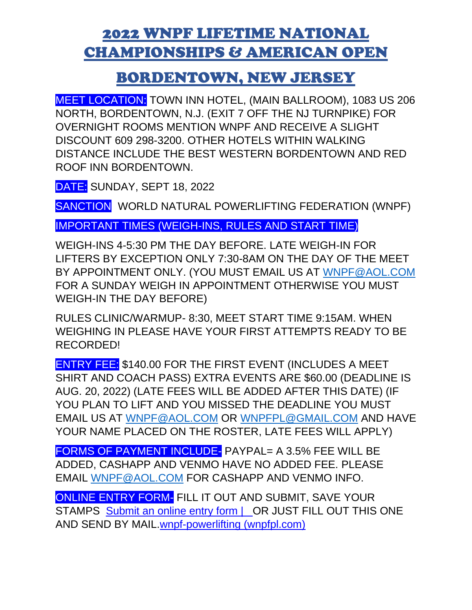## 2022 WNPF LIFETIME NATIONAL CHAMPIONSHIPS & AMERICAN OPEN

## BORDENTOWN, NEW JERSEY

MEET LOCATION: TOWN INN HOTEL, (MAIN BALLROOM), 1083 US 206 NORTH, BORDENTOWN, N.J. (EXIT 7 OFF THE NJ TURNPIKE) FOR OVERNIGHT ROOMS MENTION WNPF AND RECEIVE A SLIGHT DISCOUNT 609 298-3200. OTHER HOTELS WITHIN WALKING DISTANCE INCLUDE THE BEST WESTERN BORDENTOWN AND RED ROOF INN BORDENTOWN.

DATE: SUNDAY, SEPT 18, 2022

SANCTION WORLD NATURAL POWERLIFTING FEDERATION (WNPF)

IMPORTANT TIMES (WEIGH-INS, RULES AND START TIME)

WEIGH-INS 4-5:30 PM THE DAY BEFORE. LATE WEIGH-IN FOR LIFTERS BY EXCEPTION ONLY 7:30-8AM ON THE DAY OF THE MEET BY APPOINTMENT ONLY. (YOU MUST EMAIL US AT [WNPF@AOL.COM](mailto:WNPF@AOL.COM) FOR A SUNDAY WEIGH IN APPOINTMENT OTHERWISE YOU MUST WEIGH-IN THE DAY BEFORE)

RULES CLINIC/WARMUP- 8:30, MEET START TIME 9:15AM. WHEN WEIGHING IN PLEASE HAVE YOUR FIRST ATTEMPTS READY TO BE RECORDED!

ENTRY FEE: \$140.00 FOR THE FIRST EVENT (INCLUDES A MEET SHIRT AND COACH PASS) EXTRA EVENTS ARE \$60.00 (DEADLINE IS AUG. 20, 2022) (LATE FEES WILL BE ADDED AFTER THIS DATE) (IF YOU PLAN TO LIFT AND YOU MISSED THE DEADLINE YOU MUST EMAIL US AT [WNPF@AOL.COM](mailto:WNPF@AOL.COM) OR [WNPFPL@GMAIL.COM](mailto:WNPFPL@GMAIL.COM) AND HAVE YOUR NAME PLACED ON THE ROSTER, LATE FEES WILL APPLY)

FORMS OF PAYMENT INCLUDE- PAYPAL= A 3.5% FEE WILL BE ADDED, CASHAPP AND VENMO HAVE NO ADDED FEE. PLEASE EMAIL [WNPF@AOL.COM](mailto:WNPF@AOL.COM) FOR CASHAPP AND VENMO INFO.

ONLINE ENTRY FORM- FILL IT OUT AND SUBMIT, SAVE YOUR STAMPS Submit an online entry form | OR JUST FILL OUT THIS ONE [AND SEND BY MAIL.wnpf-powerlifting \(wnpfpl.com\)](https://www.wnpfpl.com/submit-an-online-entry-form)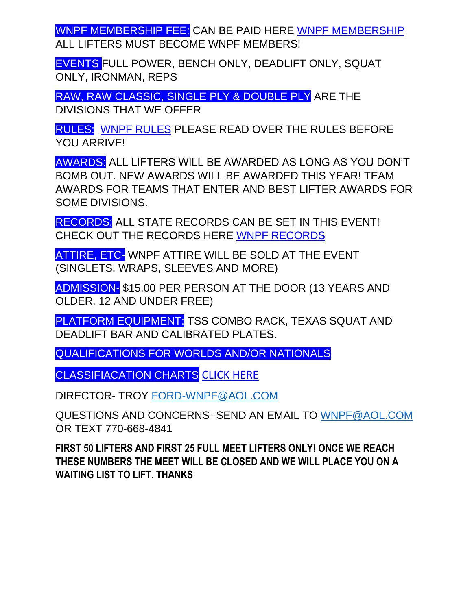WNPF MEMBERSHIP FEE: CAN BE PAID HERE [WNPF MEMBERSHIP](https://www.wnpfpl.com/online-membership-form) ALL LIFTERS MUST BECOME WNPF MEMBERS!

EVENTS FULL POWER, BENCH ONLY, DEADLIFT ONLY, SQUAT ONLY, IRONMAN, REPS

RAW, RAW CLASSIC, SINGLE PLY & DOUBLE PLY ARE THE DIVISIONS THAT WE OFFER

RULES: [WNPF RULES](https://e1736ca4-7373-44b7-b522-77e81279f2d7.filesusr.com/ugd/6a501f_14f6127424fb4b759e8c48d9b84a761f.pdf) PLEASE READ OVER THE RULES BEFORE YOU ARRIVE!

AWARDS: ALL LIFTERS WILL BE AWARDED AS LONG AS YOU DON'T BOMB OUT. NEW AWARDS WILL BE AWARDED THIS YEAR! TEAM AWARDS FOR TEAMS THAT ENTER AND BEST LIFTER AWARDS FOR SOME DIVISIONS.

RECORDS: ALL STATE RECORDS CAN BE SET IN THIS EVENT! CHECK OUT THE RECORDS HERE [WNPF RECORDS](https://www.wnpfpl.com/state-records) 

ATTIRE, ETC- WNPF ATTIRE WILL BE SOLD AT THE EVENT (SINGLETS, WRAPS, SLEEVES AND MORE)

ADMISSION- \$15.00 PER PERSON AT THE DOOR (13 YEARS AND OLDER, 12 AND UNDER FREE)

PLATFORM EQUIPMENT: TSS COMBO RACK, TEXAS SQUAT AND DEADLIFT BAR AND CALIBRATED PLATES.

QUALIFICATIONS FOR WORLDS AND/OR NATIONALS

CLASSIFIACATION CHARTS [CLICK HERE](https://e1736ca4-7373-44b7-b522-77e81279f2d7.filesusr.com/ugd/6a501f_425f6e01a15c439f9bdcad92ba6f900c.pdf)

DIRECTOR- TROY [FORD-WNPF@AOL.COM](mailto:FORD-WNPF@AOL.COM)

QUESTIONS AND CONCERNS- SEND AN EMAIL TO [WNPF@AOL.COM](mailto:WNPF@AOL.COM) OR TEXT 770-668-4841

**FIRST 50 LIFTERS AND FIRST 25 FULL MEET LIFTERS ONLY! ONCE WE REACH THESE NUMBERS THE MEET WILL BE CLOSED AND WE WILL PLACE YOU ON A WAITING LIST TO LIFT. THANKS**